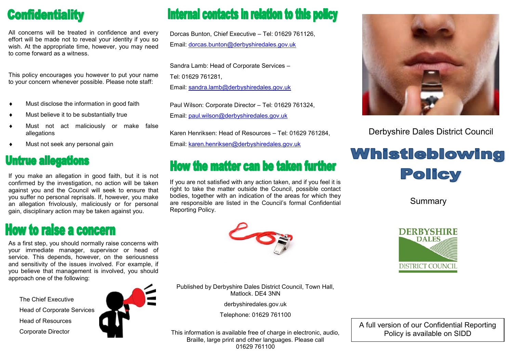## **Confidentiality**

All concerns will be treated in confidence and every effort will be made not to reveal your identity if you so wish. At the appropriate time, however, you may need to come forward as a witness.

This policy encourages you however to put your name to your concern whenever possible. Please note staff:

- $\bullet$  Must disclose the information in good faith
- Must believe it to be substantially true
- Must not act maliciously or make false allegations
- Must not seek any personal gain

#### **Untrue allegations**

If you make an allegation in good faith, but it is not confirmed by the investigation, no action will be taken against you and the Council will seek to ensure that you suffer no personal reprisals. If, however, you make an allegation frivolously, maliciously or for personal gain, disciplinary action may be taken against you.

## **How to raise a concern**

As a first step, you should normally raise concerns with your immediate manager, supervisor or head of service. This depends, however, on the seriousness and sensitivity of the issues involved. For example, if you believe that management is involved, you should approach one of the following:

The Chief Executive Head of Corporate Services Head of Resources Corporate Director



# **Internal contacts in relation to this policy**

Dorcas Bunton, Chief Executive – Tel: 01629 761126, Email: [dorcas.bunton@derbyshiredales.gov.uk](mailto:dorcas.bunton@derbyshiredales.gov.uk)

Sandra Lamb: Head of Corporate Services – Tel: 01629 761281,

Email: [sandra.lamb@derbyshiredales.gov.uk](mailto:sandra.lamb@derbyshiredales.gov.uk)

Paul Wilson: Corporate Director – Tel: 01629 761324, Email: [paul.wilson@derbyshiredales.gov.uk](mailto:paul.wilson@derbyshiredales.gov.uk)

Karen Henriksen: Head of Resources – Tel: 01629 761284,

Email: [karen.henriksen@derbyshiredales.gov.uk](mailto:karen.henrikson@derbyshiredales.gov.uk)

### **How the matter can be taken further**

If you are not satisfied with any action taken, and if you feel it is right to take the matter outside the Council, possible contact bodies, together with an indication of the areas for which they are responsible are listed in the Council's formal Confidential Reporting Policy.



Derbyshire Dales District Council

# **Whistleblowing** Policy

Summary





Published by Derbyshire Dales District Council, Town Hall, Matlock. DE4 3NN

derbyshiredales.gov.uk

Telephone: 01629 761100

This information is available free of charge in electronic, audio, Braille, large print and other languages. Please call 01629 761100

A full version of our Confidential Reporting Policy is available on SIDD